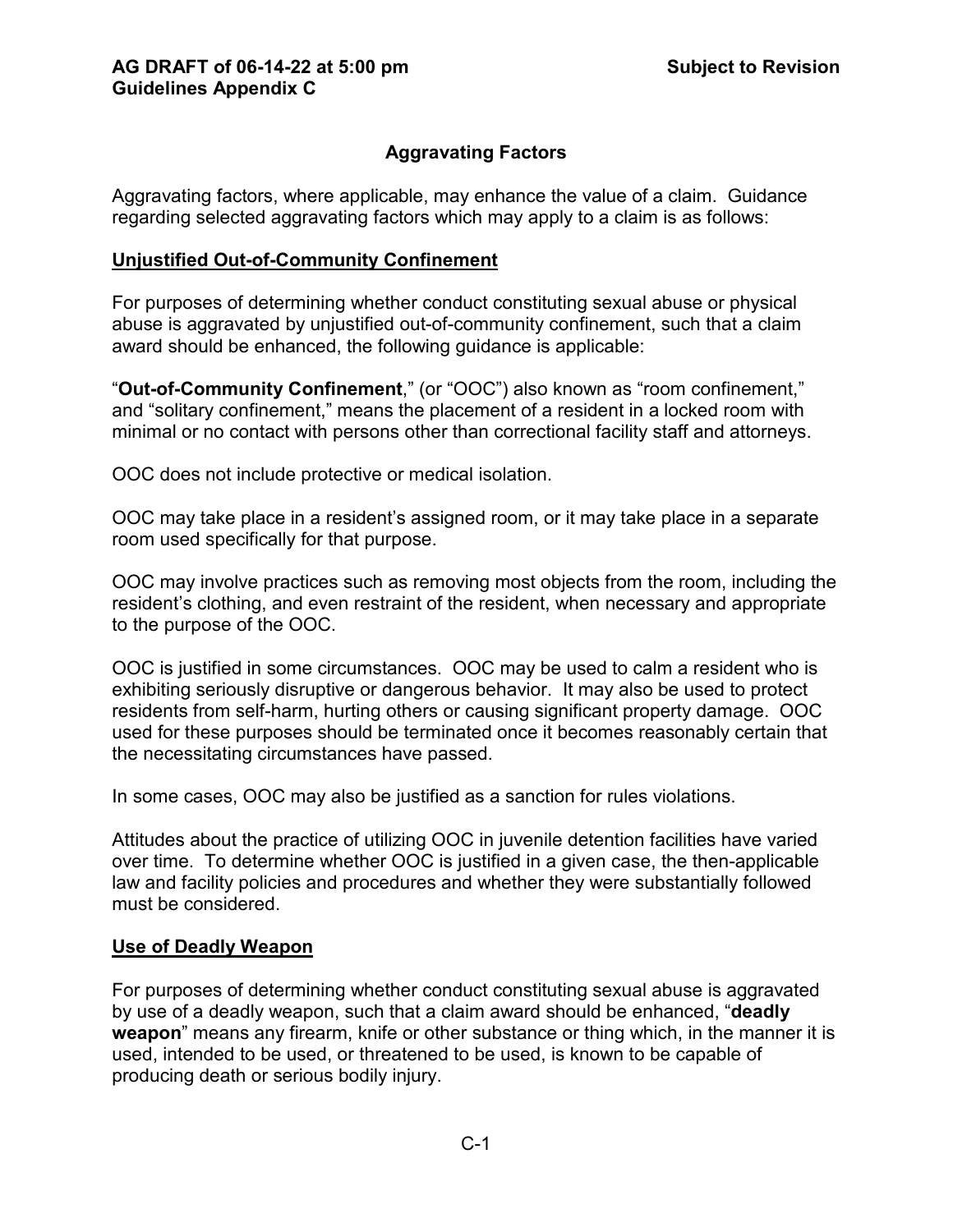# **Aggravating Factors**

Aggravating factors, where applicable, may enhance the value of a claim. Guidance regarding selected aggravating factors which may apply to a claim is as follows:

#### **Unjustified Out-of-Community Confinement**

For purposes of determining whether conduct constituting sexual abuse or physical abuse is aggravated by unjustified out-of-community confinement, such that a claim award should be enhanced, the following guidance is applicable:

"**Out-of-Community Confinement**," (or "OOC") also known as "room confinement," and "solitary confinement," means the placement of a resident in a locked room with minimal or no contact with persons other than correctional facility staff and attorneys.

OOC does not include protective or medical isolation.

OOC may take place in a resident's assigned room, or it may take place in a separate room used specifically for that purpose.

OOC may involve practices such as removing most objects from the room, including the resident's clothing, and even restraint of the resident, when necessary and appropriate to the purpose of the OOC.

OOC is justified in some circumstances. OOC may be used to calm a resident who is exhibiting seriously disruptive or dangerous behavior. It may also be used to protect residents from self-harm, hurting others or causing significant property damage. OOC used for these purposes should be terminated once it becomes reasonably certain that the necessitating circumstances have passed.

In some cases, OOC may also be justified as a sanction for rules violations.

Attitudes about the practice of utilizing OOC in juvenile detention facilities have varied over time. To determine whether OOC is justified in a given case, the then-applicable law and facility policies and procedures and whether they were substantially followed must be considered.

#### **Use of Deadly Weapon**

For purposes of determining whether conduct constituting sexual abuse is aggravated by use of a deadly weapon, such that a claim award should be enhanced, "**deadly weapon**" means any firearm, knife or other substance or thing which, in the manner it is used, intended to be used, or threatened to be used, is known to be capable of producing death or serious bodily injury.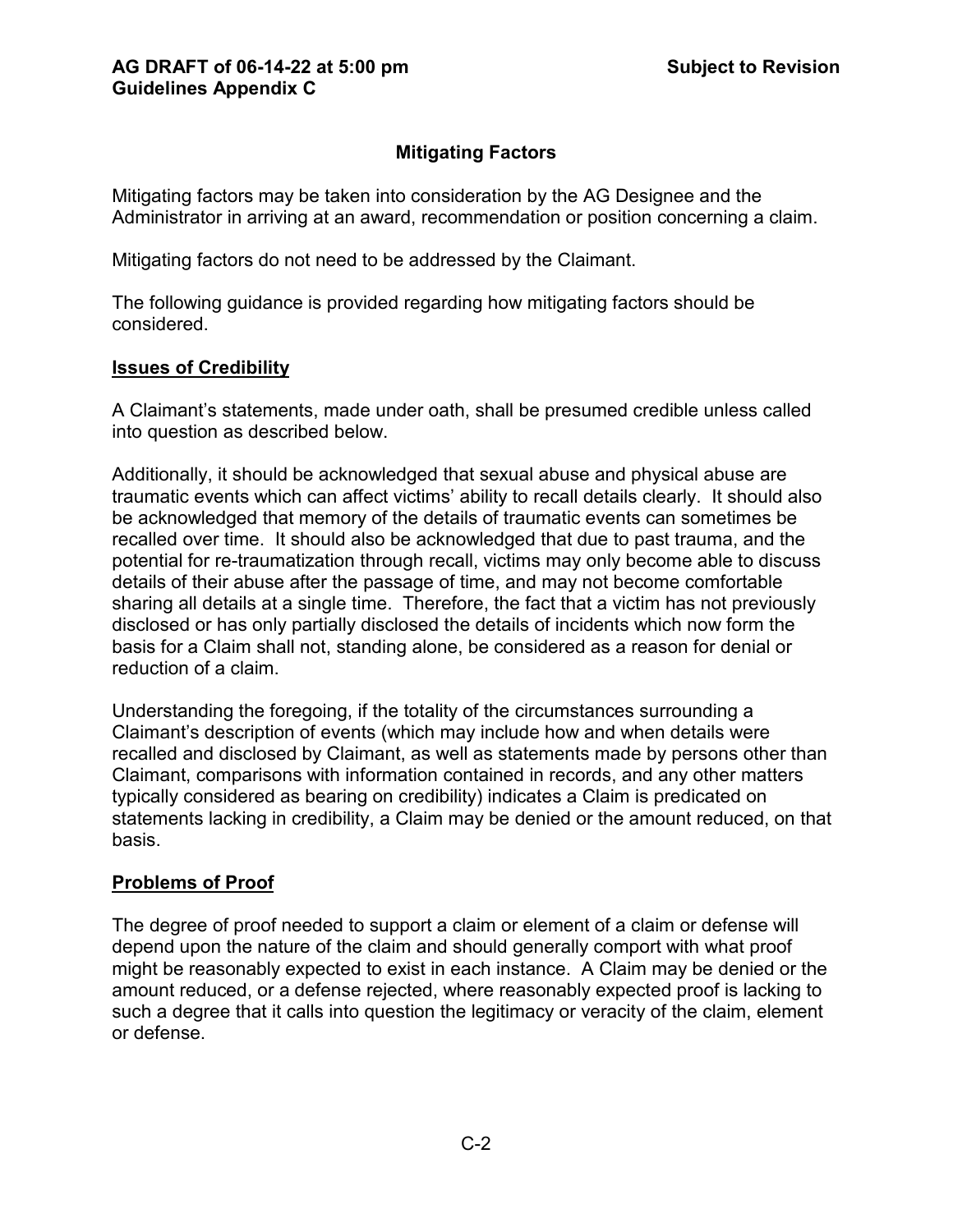# **Mitigating Factors**

Mitigating factors may be taken into consideration by the AG Designee and the Administrator in arriving at an award, recommendation or position concerning a claim.

Mitigating factors do not need to be addressed by the Claimant.

The following guidance is provided regarding how mitigating factors should be considered.

# **Issues of Credibility**

A Claimant's statements, made under oath, shall be presumed credible unless called into question as described below.

Additionally, it should be acknowledged that sexual abuse and physical abuse are traumatic events which can affect victims' ability to recall details clearly. It should also be acknowledged that memory of the details of traumatic events can sometimes be recalled over time. It should also be acknowledged that due to past trauma, and the potential for re-traumatization through recall, victims may only become able to discuss details of their abuse after the passage of time, and may not become comfortable sharing all details at a single time. Therefore, the fact that a victim has not previously disclosed or has only partially disclosed the details of incidents which now form the basis for a Claim shall not, standing alone, be considered as a reason for denial or reduction of a claim.

Understanding the foregoing, if the totality of the circumstances surrounding a Claimant's description of events (which may include how and when details were recalled and disclosed by Claimant, as well as statements made by persons other than Claimant, comparisons with information contained in records, and any other matters typically considered as bearing on credibility) indicates a Claim is predicated on statements lacking in credibility, a Claim may be denied or the amount reduced, on that basis.

# **Problems of Proof**

The degree of proof needed to support a claim or element of a claim or defense will depend upon the nature of the claim and should generally comport with what proof might be reasonably expected to exist in each instance. A Claim may be denied or the amount reduced, or a defense rejected, where reasonably expected proof is lacking to such a degree that it calls into question the legitimacy or veracity of the claim, element or defense.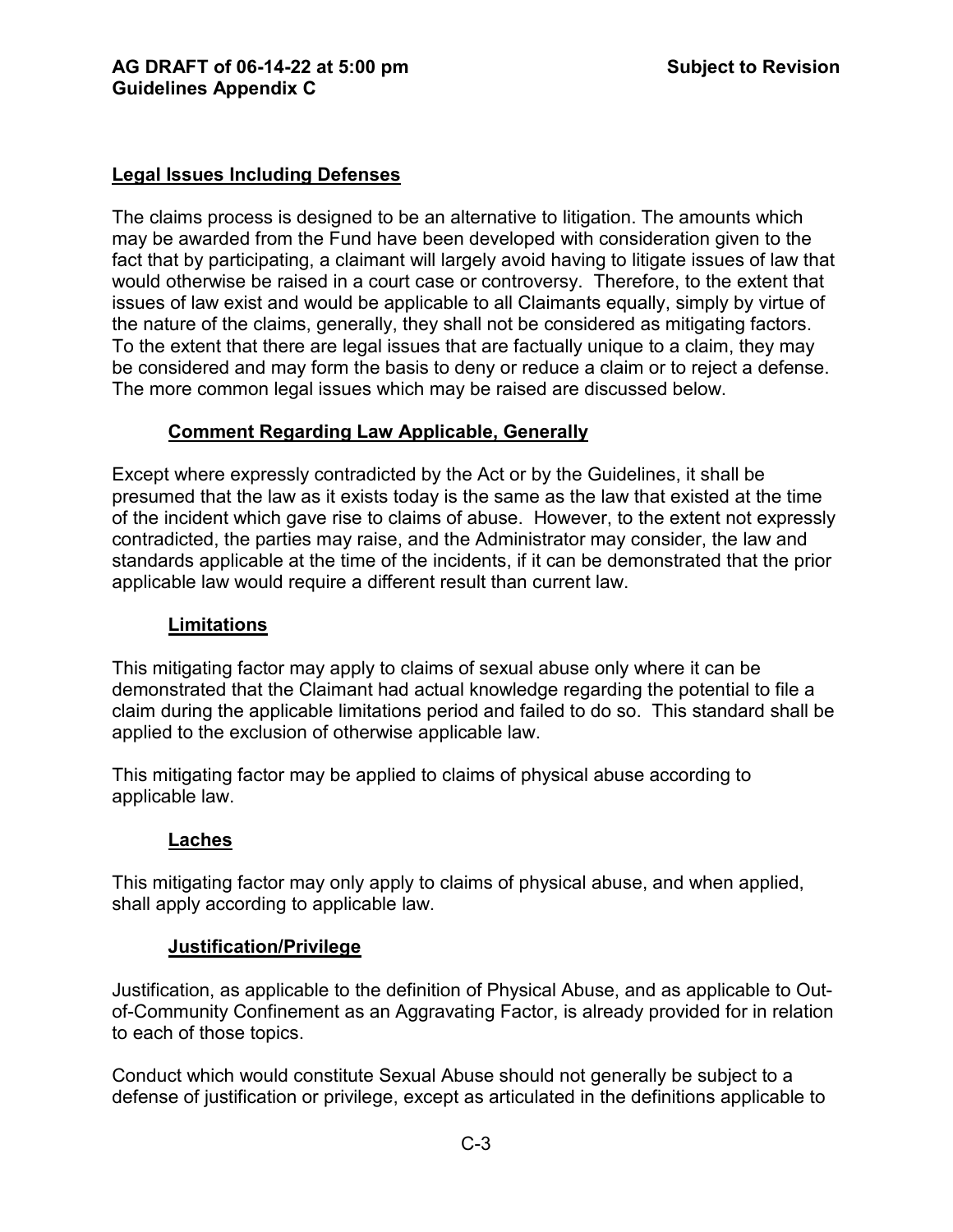### **Legal Issues Including Defenses**

The claims process is designed to be an alternative to litigation. The amounts which may be awarded from the Fund have been developed with consideration given to the fact that by participating, a claimant will largely avoid having to litigate issues of law that would otherwise be raised in a court case or controversy. Therefore, to the extent that issues of law exist and would be applicable to all Claimants equally, simply by virtue of the nature of the claims, generally, they shall not be considered as mitigating factors. To the extent that there are legal issues that are factually unique to a claim, they may be considered and may form the basis to deny or reduce a claim or to reject a defense. The more common legal issues which may be raised are discussed below.

### **Comment Regarding Law Applicable, Generally**

Except where expressly contradicted by the Act or by the Guidelines, it shall be presumed that the law as it exists today is the same as the law that existed at the time of the incident which gave rise to claims of abuse. However, to the extent not expressly contradicted, the parties may raise, and the Administrator may consider, the law and standards applicable at the time of the incidents, if it can be demonstrated that the prior applicable law would require a different result than current law.

#### **Limitations**

This mitigating factor may apply to claims of sexual abuse only where it can be demonstrated that the Claimant had actual knowledge regarding the potential to file a claim during the applicable limitations period and failed to do so. This standard shall be applied to the exclusion of otherwise applicable law.

This mitigating factor may be applied to claims of physical abuse according to applicable law.

#### **Laches**

This mitigating factor may only apply to claims of physical abuse, and when applied, shall apply according to applicable law.

#### **Justification/Privilege**

Justification, as applicable to the definition of Physical Abuse, and as applicable to Outof-Community Confinement as an Aggravating Factor, is already provided for in relation to each of those topics.

Conduct which would constitute Sexual Abuse should not generally be subject to a defense of justification or privilege, except as articulated in the definitions applicable to